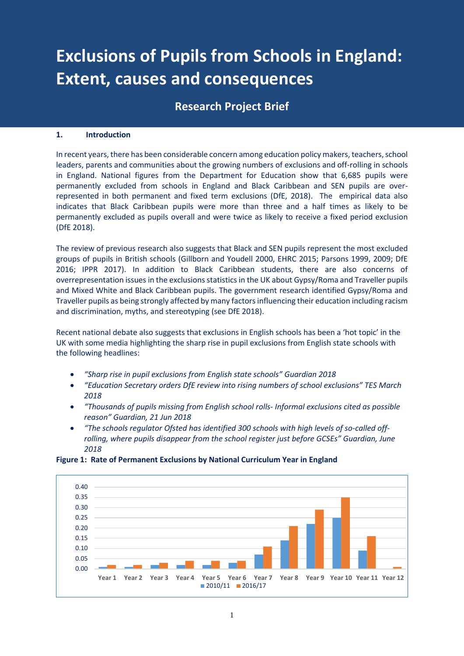# **Exclusions of Pupils from Schools in England: Extent, causes and consequences**

# **Research Project Brief**

## **1. Introduction**

In recent years, there has been considerable concern among education policy makers, teachers, school leaders, parents and communities about the growing numbers of exclusions and off-rolling in schools in England. National figures from the Department for Education show that 6,685 pupils were permanently excluded from schools in England and Black Caribbean and SEN pupils are overrepresented in both permanent and fixed term exclusions (DfE, 2018). The empirical data also indicates that Black Caribbean pupils were more than three and a half times as likely to be permanently excluded as pupils overall and were twice as likely to receive a fixed period exclusion (DfE 2018).

The review of previous research also suggests that Black and SEN pupils represent the most excluded groups of pupils in British schools (Gillborn and Youdell 2000, EHRC 2015; Parsons 1999, 2009; DfE 2016; IPPR 2017). In addition to Black Caribbean students, there are also concerns of overrepresentation issues in the exclusions statistics in the UK about Gypsy/Roma and Traveller pupils and Mixed White and Black Caribbean pupils. The government research identified Gypsy/Roma and Traveller pupils as being strongly affected by many factors influencing their education including racism and discrimination, myths, and stereotyping (see DfE 2018).

Recent national debate also suggests that exclusions in English schools has been a 'hot topic' in the UK with some media highlighting the sharp rise in pupil exclusions from English state schools with the following headlines:

- *"Sharp rise in pupil exclusions from English state schools" Guardian 2018*
- *"Education Secretary orders DfE review into rising numbers of school exclusions" TES March 2018*
- *"Thousands of pupils missing from English school rolls- Informal exclusions cited as possible reason" Guardian, 21 Jun 2018*
- *"The schools regulator Ofsted has identified 300 schools with high levels of so-called offrolling, where pupils disappear from the school register just before GCSEs" Guardian, June 2018*



# **Figure 1: Rate of Permanent Exclusions by National Curriculum Year in England**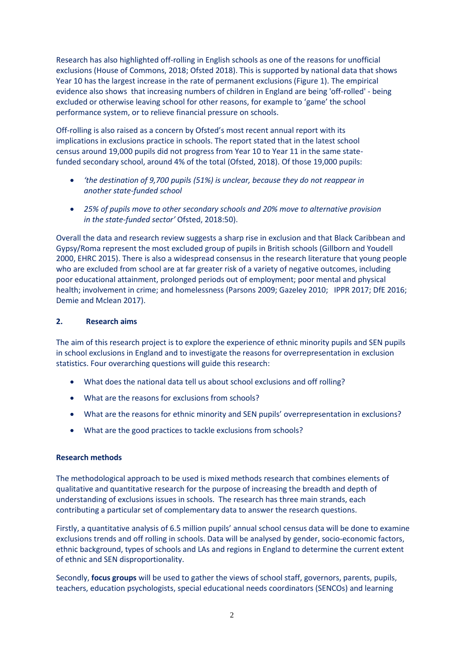Research has also highlighted off-rolling in English schools as one of the reasons for unofficial exclusions (House of Commons, 2018; Ofsted 2018). This is supported by national data that shows Year 10 has the largest increase in the rate of permanent exclusions (Figure 1). The empirical evidence also shows that increasing numbers of children in England are being 'off-rolled' - being excluded or otherwise leaving school for other reasons, for example to 'game' the school performance system, or to relieve financial pressure on schools.

Off-rolling is also raised as a concern by Ofsted's most recent annual report with its implications in exclusions practice in schools. The report stated that in the latest school census around 19,000 pupils did not progress from Year 10 to Year 11 in the same statefunded secondary school, around 4% of the total (Ofsted, 2018). Of those 19,000 pupils:

- *'the destination of 9,700 pupils (51%) is unclear, because they do not reappear in another state-funded school*
- *25% of pupils move to other secondary schools and 20% move to alternative provision in the state-funded sector'* Ofsted, 2018:50).

Overall the data and research review suggests a sharp rise in exclusion and that Black Caribbean and Gypsy/Roma represent the most excluded group of pupils in British schools (Gillborn and Youdell 2000, EHRC 2015). There is also a widespread consensus in the research literature that young people who are excluded from school are at far greater risk of a variety of negative outcomes, including poor educational attainment, prolonged periods out of employment; poor mental and physical health; involvement in crime; and homelessness (Parsons 2009; Gazeley 2010; IPPR 2017; DfE 2016; Demie and Mclean 2017).

# **2. Research aims**

The aim of this research project is to explore the experience of ethnic minority pupils and SEN pupils in school exclusions in England and to investigate the reasons for overrepresentation in exclusion statistics. Four overarching questions will guide this research:

- What does the national data tell us about school exclusions and off rolling?
- What are the reasons for exclusions from schools?
- What are the reasons for ethnic minority and SEN pupils' overrepresentation in exclusions?
- What are the good practices to tackle exclusions from schools?

### **Research methods**

The methodological approach to be used is mixed methods research that combines elements of qualitative and quantitative research for the purpose of increasing the breadth and depth of understanding of exclusions issues in schools. The research has three main strands, each contributing a particular set of complementary data to answer the research questions.

Firstly, a quantitative analysis of 6.5 million pupils' annual school census data will be done to examine exclusions trends and off rolling in schools. Data will be analysed by gender, socio-economic factors, ethnic background, types of schools and LAs and regions in England to determine the current extent of ethnic and SEN disproportionality.

Secondly, **focus groups** will be used to gather the views of school staff, governors, parents, pupils, teachers, education psychologists, special educational needs coordinators (SENCOs) and learning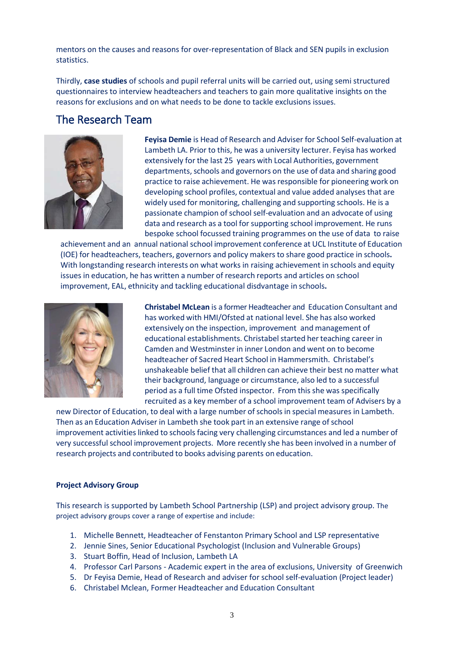mentors on the causes and reasons for over-representation of Black and SEN pupils in exclusion statistics.

Thirdly, **case studies** of schools and pupil referral units will be carried out, using semi structured questionnaires to interview headteachers and teachers to gain more qualitative insights on the reasons for exclusions and on what needs to be done to tackle exclusions issues.

# The Research Team



**Feyisa Demie** is Head of Research and Adviser for School Self‐evaluation at Lambeth LA. Prior to this, he was a university lecturer. Feyisa has worked extensively for the last 25 years with Local Authorities, government departments, schools and governors on the use of data and sharing good practice to raise achievement. He was responsible for pioneering work on developing school profiles, contextual and value added analyses that are widely used for monitoring, challenging and supporting schools. He is a passionate champion of school self-evaluation and an advocate of using data and research as a tool for supporting school improvement. He runs bespoke school focussed training programmes on the use of data to raise

achievement and an annual national school improvement conference at UCL Institute of Education (IOE) for headteachers, teachers, governors and policy makers to share good practice in schools**.** With longstanding research interests on what works in raising achievement in schools and equity issues in education, he has written a number of research reports and articles on school improvement, EAL, ethnicity and tackling educational disdvantage in schools**.**



**Christabel McLean** is a former Headteacher and Education Consultant and has worked with HMI/Ofsted at national level. She has also worked extensively on the inspection, improvement and management of educational establishments. Christabel started her teaching career in Camden and Westminster in inner London and went on to become headteacher of Sacred Heart School in Hammersmith. Christabel's unshakeable belief that all children can achieve their best no matter what their background, language or circumstance, also led to a successful period as a full time Ofsted inspector. From this she was specifically recruited as a key member of a school improvement team of Advisers by a

new Director of Education, to deal with a large number ofschools in special measures in Lambeth. Then as an Education Adviser in Lambeth she took part in an extensive range of school improvement activities linked to schools facing very challenging circumstances and led a number of very successful school improvement projects. More recently she has been involved in a number of research projects and contributed to books advising parents on education.

### **Project Advisory Group**

This research is supported by Lambeth School Partnership (LSP) and project advisory group. The project advisory groups cover a range of expertise and include:

- 1. Michelle Bennett, Headteacher of Fenstanton Primary School and LSP representative
- 2. Jennie Sines, Senior Educational Psychologist (Inclusion and Vulnerable Groups)
- 3. Stuart Boffin, Head of Inclusion, Lambeth LA
- 4. Professor Carl Parsons Academic expert in the area of exclusions, University of Greenwich
- 5. Dr Feyisa Demie, Head of Research and adviser for school self-evaluation (Project leader)
- 6. Christabel Mclean, Former Headteacher and Education Consultant